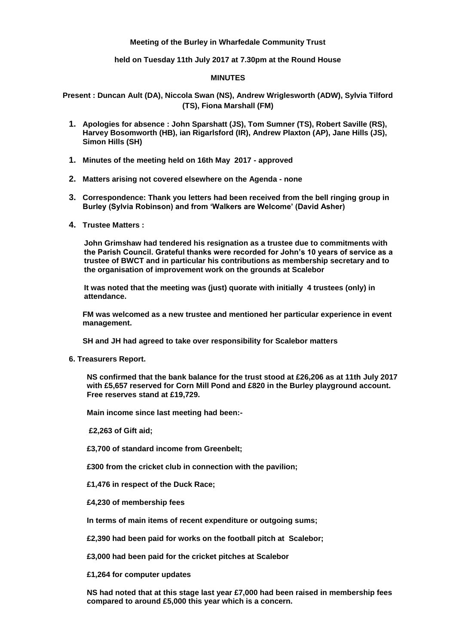# **Meeting of the Burley in Wharfedale Community Trust**

**held on Tuesday 11th July 2017 at 7.30pm at the Round House**

## **MINUTES**

**Present : Duncan Ault (DA), Niccola Swan (NS), Andrew Wriglesworth (ADW), Sylvia Tilford (TS), Fiona Marshall (FM)**

- **1. Apologies for absence : John Sparshatt (JS), Tom Sumner (TS), Robert Saville (RS), Harvey Bosomworth (HB), ian Rigarlsford (IR), Andrew Plaxton (AP), Jane Hills (JS), Simon Hills (SH)**
- **1. Minutes of the meeting held on 16th May 2017 - approved**
- **2. Matters arising not covered elsewhere on the Agenda - none**
- **3. Correspondence: Thank you letters had been received from the bell ringing group in Burley (Sylvia Robinson) and from 'Walkers are Welcome' (David Asher)**
- **4. Trustee Matters :**

**John Grimshaw had tendered his resignation as a trustee due to commitments with the Parish Council. Grateful thanks were recorded for John's 10 years of service as a trustee of BWCT and in particular his contributions as membership secretary and to the organisation of improvement work on the grounds at Scalebor** 

**It was noted that the meeting was (just) quorate with initially 4 trustees (only) in attendance.**

**FM was welcomed as a new trustee and mentioned her particular experience in event management.**

**SH and JH had agreed to take over responsibility for Scalebor matters**

**6. Treasurers Report.**

**NS confirmed that the bank balance for the trust stood at £26,206 as at 11th July 2017 with £5,657 reserved for Corn Mill Pond and £820 in the Burley playground account. Free reserves stand at £19,729.**

**Main income since last meeting had been:-**

**£2,263 of Gift aid;**

**£3,700 of standard income from Greenbelt;**

**£300 from the cricket club in connection with the pavilion;**

**£1,476 in respect of the Duck Race;**

**£4,230 of membership fees**

**In terms of main items of recent expenditure or outgoing sums;**

**£2,390 had been paid for works on the football pitch at Scalebor;** 

**£3,000 had been paid for the cricket pitches at Scalebor** 

**£1,264 for computer updates**

**NS had noted that at this stage last year £7,000 had been raised in membership fees compared to around £5,000 this year which is a concern.**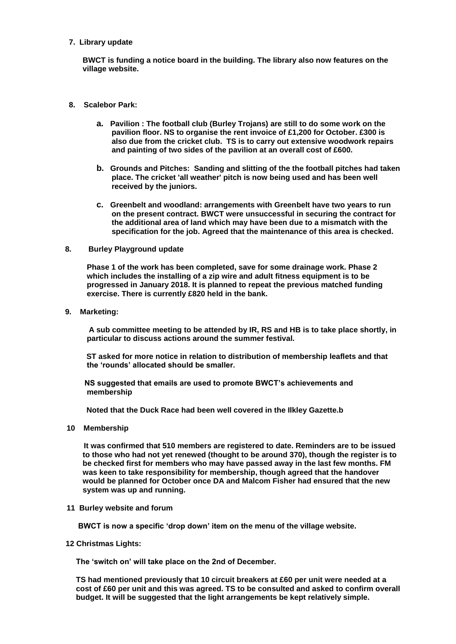**7. Library update**

**BWCT is funding a notice board in the building. The library also now features on the village website.**

- **8. Scalebor Park:** 
	- **a. Pavilion : The football club (Burley Trojans) are still to do some work on the pavilion floor. NS to organise the rent invoice of £1,200 for October. £300 is also due from the cricket club. TS is to carry out extensive woodwork repairs and painting of two sides of the pavilion at an overall cost of £600.**
	- **b. Grounds and Pitches: Sanding and slitting of the the football pitches had taken place. The cricket 'all weather' pitch is now being used and has been well received by the juniors.**
	- **c. Greenbelt and woodland: arrangements with Greenbelt have two years to run on the present contract. BWCT were unsuccessful in securing the contract for the additional area of land which may have been due to a mismatch with the specification for the job. Agreed that the maintenance of this area is checked.**

#### **8. Burley Playground update**

 **Phase 1 of the work has been completed, save for some drainage work. Phase 2 which includes the installing of a zip wire and adult fitness equipment is to be progressed in January 2018. It is planned to repeat the previous matched funding exercise. There is currently £820 held in the bank.**

### **9. Marketing:**

 **A sub committee meeting to be attended by IR, RS and HB is to take place shortly, in particular to discuss actions around the summer festival.**

 **ST asked for more notice in relation to distribution of membership leaflets and that the 'rounds' allocated should be smaller.**

 **NS suggested that emails are used to promote BWCT's achievements and membership**

 **Noted that the Duck Race had been well covered in the Ilkley Gazette.b**

**10 Membership**

**It was confirmed that 510 members are registered to date. Reminders are to be issued to those who had not yet renewed (thought to be around 370), though the register is to be checked first for members who may have passed away in the last few months. FM was keen to take responsibility for membership, though agreed that the handover would be planned for October once DA and Malcom Fisher had ensured that the new system was up and running.**

#### **11 Burley website and forum**

**BWCT is now a specific 'drop down' item on the menu of the village website.**

 **12 Christmas Lights:** 

**The 'switch on' will take place on the 2nd of December.** 

**TS had mentioned previously that 10 circuit breakers at £60 per unit were needed at a cost of £60 per unit and this was agreed. TS to be consulted and asked to confirm overall budget. It will be suggested that the light arrangements be kept relatively simple.**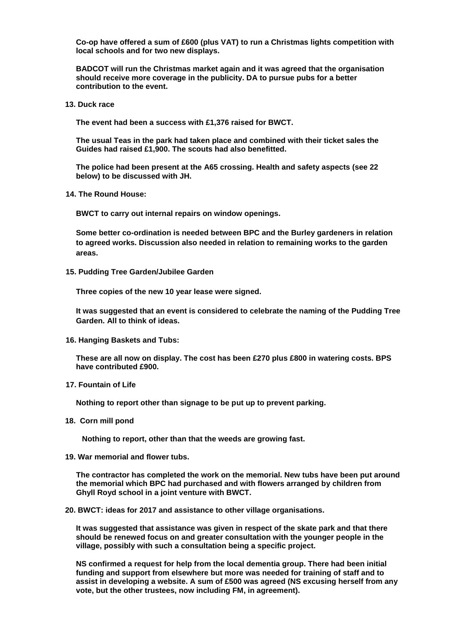**Co-op have offered a sum of £600 (plus VAT) to run a Christmas lights competition with local schools and for two new displays.**

**BADCOT will run the Christmas market again and it was agreed that the organisation should receive more coverage in the publicity. DA to pursue pubs for a better contribution to the event.**

**13. Duck race**

**The event had been a success with £1,376 raised for BWCT.**

**The usual Teas in the park had taken place and combined with their ticket sales the Guides had raised £1,900. The scouts had also benefitted.**

**The police had been present at the A65 crossing. Health and safety aspects (see 22 below) to be discussed with JH.**

 **14. The Round House:** 

**BWCT to carry out internal repairs on window openings.**

**Some better co-ordination is needed between BPC and the Burley gardeners in relation to agreed works. Discussion also needed in relation to remaining works to the garden areas.**

 **15. Pudding Tree Garden/Jubilee Garden** 

**Three copies of the new 10 year lease were signed.**

**It was suggested that an event is considered to celebrate the naming of the Pudding Tree Garden. All to think of ideas.**

 **16. Hanging Baskets and Tubs:** 

**These are all now on display. The cost has been £270 plus £800 in watering costs. BPS have contributed £900.**

 **17. Fountain of Life**

**Nothing to report other than signage to be put up to prevent parking.**

**18. Corn mill pond**

 **Nothing to report, other than that the weeds are growing fast.**

**19. War memorial and flower tubs.**

**The contractor has completed the work on the memorial. New tubs have been put around the memorial which BPC had purchased and with flowers arranged by children from Ghyll Royd school in a joint venture with BWCT.**

**20. BWCT: ideas for 2017 and assistance to other village organisations.**

**It was suggested that assistance was given in respect of the skate park and that there should be renewed focus on and greater consultation with the younger people in the village, possibly with such a consultation being a specific project.**

**NS confirmed a request for help from the local dementia group. There had been initial funding and support from elsewhere but more was needed for training of staff and to assist in developing a website. A sum of £500 was agreed (NS excusing herself from any vote, but the other trustees, now including FM, in agreement).**